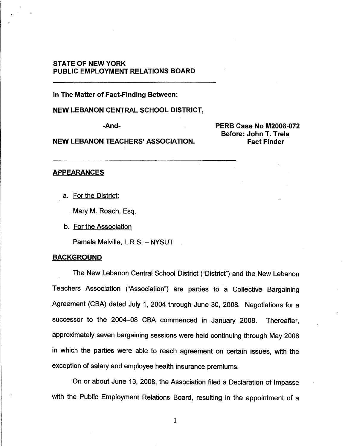# **STATE OF NEW YORK PUBLIC EMPLOYMENT RELATIONS BOARD**

**In The Matter of Fact-Finding Between:** 

**NEW LEBANON CENTRAL SCHOOL DISTRICT,** 

**NEW LEBANON TEACHERS' ASSOCIATION. Fact Finder** 

**-And- PERB Case No M2008-072 Before: John T. Trela** 

## APPEARANCES

a. For the District:

Mary M. Roach, Esq.

b. For the Association

Pamela Melville, L.R.S. - NYSUT

#### **BACKGROUND**

The New Lebanon Central School District ("District") and the New Lebanon Teachers Association ("Association") are parties to a Collective Bargaining Agreement (CBA) dated July 1, 2004 through June 30, 2008. Negotiations for a successor to the 2004-08 CBA commenced in January 2008. Thereafter, approximately seven bargaining sessions were held continuing through May 2008 in which the parties were able to reach agreement on certain issues, with the exception of salary and employee health insurance premiums.

On or about June 13, 2008, the Association filed a Declaration of Impasse with the Public Employment Relations Board, resulting in the appointment of a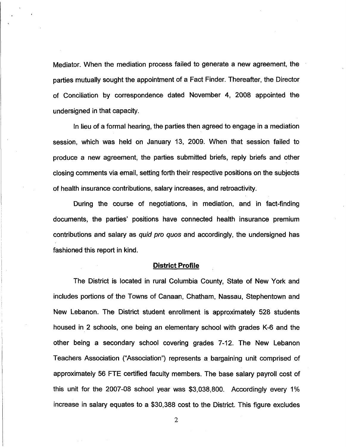Mediator. When the mediation process failed to generate a new agreement, the parties mutually sought the appointment of a Fact Finder. Thereafter, the Director of Conciliation by correspondence dated November 4, 2008 appointed the undersigned in that capacity.

In lieu of a formal hearing, the parties then agreed to engage in a mediation session, which was held on January 13, 2009. When that session failed to produce a new agreement, the parties submitted briefs, reply briefs and other closing comments via email, setting forth their respective positions on the subjects of health insurance contributions, salary increases, and retroactivity.

During the course of negotiations, in mediation, and in fact-finding documents, the parties' positions have connected health insurance premium contributions and salary as quid pro quos and accordingly, the undersigned has fashioned this report in kind.

## District Profile

The District is located in rural Columbia County, State of New York and includes portions of the Towns of Canaan, Chatham, Nassau, Stephentown and New Lebanon. The District student enrollment is approximately 528 students housed in 2 schools, one being an elementary school with grades K-6 and the other being a secondary school covering grades 7-12. The New Lebanon Teachers Association ("Association") represents a bargaining unit comprised of approximately 56 FTE certified faculty members. The base salary payroll cost of this unit for the 2007-08 school year was \$3,038,800. Accordingly every 1% increase in salary equates to a \$30,388 cost to the District. This figure excludes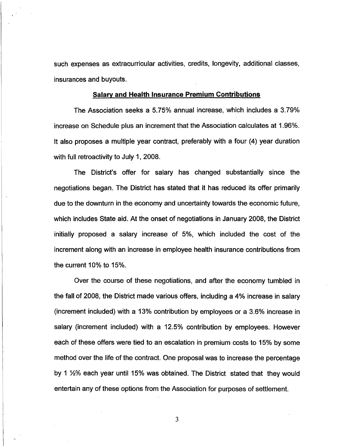such expenses as extracurricular activities, credits, longevity, additional classes, insurances and buyouts.

#### **Salary and Health Insurance Premium Contributions**

The Association seeks a 5.75% annual increase, which includes a 3.79% increase on Schedule plus an increment that the Association calculates at 1.96%. It also proposes a multiple year contract, preferably with a four (4) year duration with full retroactivity to July 1, 2008.

The District's offer for salary has changed substantially since the negotiations began. The District has stated that it has reduced its offer primarily due to the downturn in the economy and uncertainty towards the economic future, which includes State aid. At the onset of negotiations in January 2008, the District initially proposed a salary increase of 5%, which included the cost of the increment along with an increase in employee health insurance contributions from the current 10% to 15%.

Over the course of these negotiations, and after the economy tumbled in the fall of 2008, the District made various offers, including a 4% increase in salary (increment included) with a 13% contribution by employees or a 3.6% increase in salary (increment included) with a 12.5% contribution by employees. However each of these offers were tied to an escalation in premium costs to 15% by some method over the life of the contract. One proposal was to increase the percentage by 1 V2% each year until 15% was obtained. The District stated that they would entertain any of these options from the Association for purposes of settlement.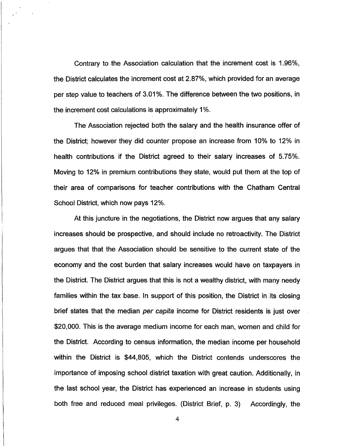Contrary to the Association calculation that the increment cost is 1.96%, the District calculates the increment cost at 2.87%, which provided for an average per step value to teachers of 3.01%. The difference between the two positions, in the increment cost calculations is approximately 1%.

The Association rejected both the salary and the health insurance offer of the District; however they did counter propose an increase from 10% to 12% in health contributions if the District agreed to their salary increases of 5.75%. Moving to 12% in premium contributions they state, would put them at the top of their area of comparisons for teacher contributions with the Chatham Central School District, which now pays 12%.

At this juncture in the negotiations, the District now argues that any salary increases should be prospective, and should include no retroactivity. The District argues that that the Association should be sensitive to the current state of the economy and the cost burden that salary increases would have on taxpayers in the District. The District argues that this is not a wealthy district, with many needy families within the tax base. In support of this position, the District in its closing brief states that the median per capita income for District residents is just over \$20,000. This is the average medium income for each man, women and child for the District. According to census information, the median income per household within the District is \$44,805, which the District contends underscores the importance of imposing school district taxation with great caution. Additionally, in the last school year, the District has experienced an increase in students using both free and reduced meal privileges. (District Brief, p. 3) Accordingly, the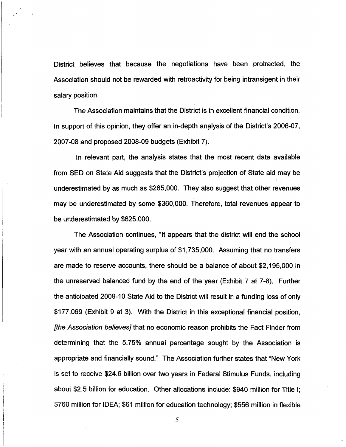District believes that because the negotiations have been protracted, the Association should not be rewarded with retroactivity for being intransigent in their salary position.

The Association maintains that the District is in excellent financial condition. In support of this opinion, they offer an in-depth analysis of the District's 2006-07, 2007-08 and proposed 2008-09 budgets (Exhibit 7).

In relevant part, the analysis states that the most recent data available from SED on State Aid suggests that the District's projection of State aid may be underestimated by as much as \$265,000. They also suggest that other revenues may be underestimated by some \$360,000. Therefore, total revenues appear to be underestimated by \$625,000.

The Association continues, "It appears that the district will end the school year with an annual operating surplus of \$1,735,000. Assuming that no transfers are made to reserve accounts, there should be a balance of about \$2,195,000 in the unreserved balanced fund by the end of the year (Exhibit 7 at 7-8). Further the anticipated 2009-10 State Aid to the District will result in a funding loss of only \$177,069 (Exhibit 9 at 3). With the District in this exceptional financial position, [the Association believes] that no economic reason prohibits the Fact Finder from determining that the 5.75% annual percentage sought by the Association is appropriate and financially sound." The Association further states that "New York is set to receive \$24.6 billion over two years in Federal Stimulus Funds, including about \$2.5 billion for education. Other allocations include: \$940 million for Title I; \$760 million for IDEA; \$61 million for education technology; \$556 million in flexible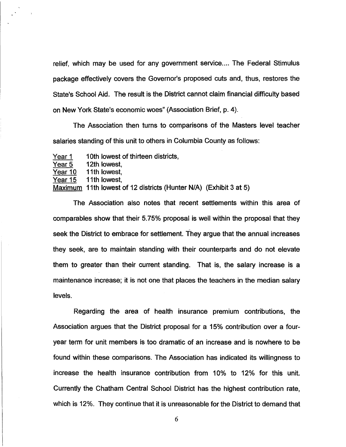relief, which may be used for any government service.... The Federal Stimulus package effectively covers the Governor's proposed cuts and, thus, restores the State's School Aid. The result is the District cannot claim financial difficulty based on New York State's economic woes" (Association Brief, p. 4).

The Association then turns to comparisons of the Masters level teacher salaries standing of this unit to others in Columbia County as follows:

Year 1 10th lowest of thirteen districts,

Year 5 12th lowest,<br>Year 10 11th lowest,

<u>Year 10</u> 11th lowest,<br>Year 15 11th lowest,

Year 15 11th lowest,<br>Maximum 11th lowest of 12 districts (Hunter N/A) (Exhibit 3 at 5)

The Association also notes that recent settlements within this area of comparables show that their 5.75% proposal is well within the proposal that they seek the District to embrace for settlement. They argue that the annual increases seek the District to embrace for settlement. They argue that the annual increases they seek, are to maintain standing with their counterparts and do not elevate they seek, are to maintain standing with their counterparts and do not elevate them to greater than their current standing. That is, the salary increase is a them to greater than their current standing. That is, the salary increase is a maintenance increase; it is not one that places the teachers in the median salary maintenance increase; it is not one that places the median salary in the median salary in the median salary in levels.

Regarding the area of health insurance premium contributions, the  $\mathbf{C}$  $y = \frac{1}{2}$  , the continuous is too dramatic of an increase and is nowhere to be found within these comparisons. The Association has indicated its willingness to increase the health insurance contribution from 10% to 12% for this unit. Currently the Chatham Central School District has the highest contribution rate, which is 12%. They continue that it is unreasonable for the District to demand that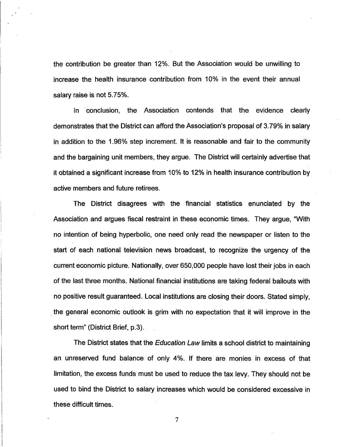the contribution be greater than 12%. But the Association would be unwilling to increase the health insurance contribution from 10% in the event their annual salary raise is not 5.75%.

In conclusion, the Association contends that the evidence clearly demonstrates that the District can afford the Association's proposal of 3.79% in salary in addition to the 1.96% step increment. It is reasonable and fair to the community and the bargaining unit members, they argue. The District will certainly advertise that it obtained a significant increase from 10% to 12% in health insurance contribution by active members and future retirees.

The District disagrees with the financial statistics enunciated by the Association and argues fiscal restraint in these economic times. They argue, "With no intention of being hyperbolic, one need only read the newspaper or listen to the start of each national television news broadcast, to recognize the urgency of the current economic picture. Nationally, over 650,000 people have lost their jobs in each of the last three months. National financial institutions are taking federal bailouts with no positive result guaranteed. Local institutions are closing their doors. Stated simply, the general economic outlook is grim with no expectation that it will improve in the short term" (District Brief, p.3).

The District states that the *Education Law* limits a school district to maintaining an unreserved fund balance of only 4%. If there are monies in excess of that limitation, the excess funds must be used to reduce the tax levy. They should not be used to bind the District to salary increases which would be considered excessive in these difficult times.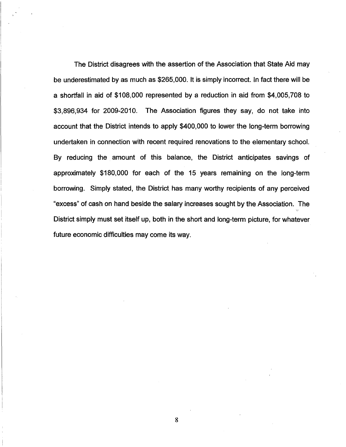The District disagrees with the assertion of the Association that State Aid may be underestimated by as much as \$265,000. It is simply incorrect. In fact there will be a shortfall in aid of \$108,000 represented by a reduction in aid from \$4,005,708 to \$3,896,934 for 2009-2010. The Association figures they say, do not take into account that the District intends to apply \$400,000 to lower the long-term borrowing undertaken in connection with recent required renovations to the elementary school. By reducing the amount of this balance, the District anticipates savings of approximately \$180,000 for each of the 15 years remaining on the long-term borrowing. Simply stated, the District has many worthy recipients of any perceived "excess" of cash on hand beside the salary increases sought by the Association. The District simply must set itself up, both in the short and long-term picture, for whatever future economic difficulties may come its way.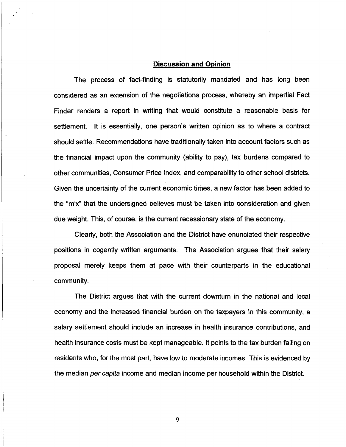## **Discussion and Opinion**

The process of fact-finding is statutorily mandated and has long been considered as an extension of the negotiations process, whereby an impartial Fact Finder renders a report in writing that would constitute a reasonable basis for settlement. It is essentially, one person's written opinion as to where a contract should settle. Recommendations have traditionally taken into account factors such as the financial impact upon the community (ability to pay), tax burdens compared to other communities, Consumer Price Index, and comparability to other school districts. Given the uncertainty of the current economic times, a new factor has been added to the "mix" that the undersigned believes must be taken into consideration and given due weight. This, of course, is the current recessionary state of the economy.

Clearly, both the Association and the District have enunciated their respective positions in cogently written arguments. The Association argues that their salary proposal merely keeps them at pace with their counterparts in the educational community.

The District argues that with the current downturn in the national and local economy and the increased financial burden on the taxpayers in this community, a salary settlement should include an increase in health insurance contributions, and health insurance costs must be kept manageable. It points to the tax burden falling on residents who, for the most part, have low to moderate incomes. This is evidenced by the median per capita income and median income per household within the District.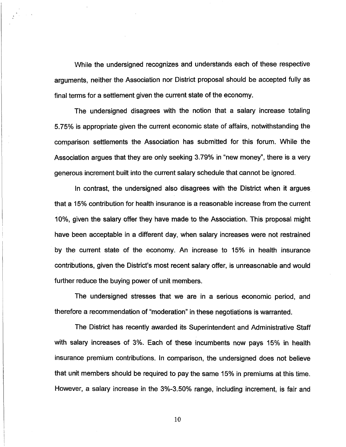While the undersigned recognizes and understands each of these respective arguments, neither the Association nor District proposal should be accepted fully as final terms for a settlement given the current state of the economy.

The undersigned disagrees with the notion that a salary increase totaling 5.75% is appropriate given the current economic state of affairs, notwithstanding the comparison settlements the Association has submitted for this forum. While the Association argues that they are only seeking 3.79% in "new money", there is a very generous increment built into the current salary schedule that cannot be ignored.

In contrast, the undersigned also disagrees with the District when it argues that a 15% contribution for health insurance is a reasonable increase from the current 10%, given the salary offer they have made to the Association. This proposal might have been acceptable in a different day, when salary increases were not restrained by the current state of the economy. An increase to 15% in health insurance contributions, given the District's most recent salary offer, is unreasonable and would further reduce the buying power of unit members.

The undersigned stresses that we are in a serious economic period, and therefore a recommendation of "moderation" in these negotiations is warranted.

The District has recently awarded its Superintendent and Administrative Staff with salary increases of 3%. Each of these incumbents now pays 15% in health insurance premium contributions. In comparison, the undersigned does not believe that unit members should be required to pay the same 15% in premiums at this time. However, a salary increase in the 3%-3.50% range, including increment, is fair and